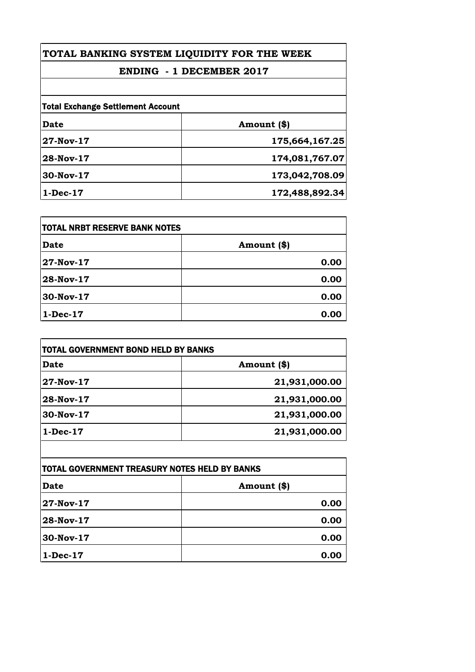## **TOTAL BANKING SYSTEM LIQUIDITY FOR THE WEEK**

## **ENDING - 1 DECEMBER 2017**

| <b>Total Exchange Settlement Account</b> |                |
|------------------------------------------|----------------|
| <b>Date</b>                              | Amount (\$)    |
| 27-Nov-17                                | 175,664,167.25 |
| 28-Nov-17                                | 174,081,767.07 |
| 30-Nov-17                                | 173,042,708.09 |
| $1-Dec-17$                               | 172,488,892.34 |

| <b>ITOTAL NRBT RESERVE BANK NOTES</b> |             |
|---------------------------------------|-------------|
| Date                                  | Amount (\$) |
| 27-Nov-17                             | 0.00        |
| 28-Nov-17                             | 0.00        |
| 30-Nov-17                             | 0.00        |
| $1-Dec-17$                            | 0.00        |

| TOTAL GOVERNMENT BOND HELD BY BANKS |               |
|-------------------------------------|---------------|
| <b>Date</b>                         | Amount (\$)   |
| 27-Nov-17                           | 21,931,000.00 |
| 28-Nov-17                           | 21,931,000.00 |
| 30-Nov-17                           | 21,931,000.00 |
| $1-Dec-17$                          | 21,931,000.00 |

| <b>TOTAL GOVERNMENT TREASURY NOTES HELD BY BANKS</b> |             |
|------------------------------------------------------|-------------|
| Date                                                 | Amount (\$) |
| 27-Nov-17                                            | 0.00        |
| 28-Nov-17                                            | 0.00        |
| 30-Nov-17                                            | 0.00        |
| $1-Dec-17$                                           | 0.00        |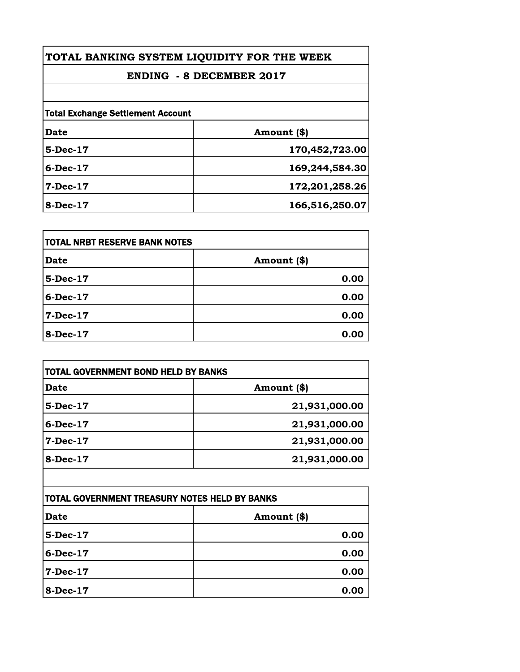| TOTAL BANKING SYSTEM LIQUIDITY FOR THE WEEK |                |
|---------------------------------------------|----------------|
| <b>ENDING - 8 DECEMBER 2017</b>             |                |
|                                             |                |
| <b>Total Exchange Settlement Account</b>    |                |
| Date                                        | Amount (\$)    |
| 5-Dec-17                                    | 170,452,723.00 |
| $6$ -Dec-17                                 | 169,244,584.30 |
| $7 - Dec - 17$                              | 172,201,258.26 |
| $8-Dec-17$                                  | 166,516,250.07 |

| <b>TOTAL NRBT RESERVE BANK NOTES</b> |             |
|--------------------------------------|-------------|
| <b>Date</b>                          | Amount (\$) |
| 5-Dec-17                             | 0.00        |
| 6-Dec-17                             | 0.00        |
| 7-Dec-17                             | 0.00        |
| 8-Dec-17                             | 0.00        |

| <b>TOTAL GOVERNMENT BOND HELD BY BANKS</b> |               |
|--------------------------------------------|---------------|
| <b>Date</b>                                | Amount (\$)   |
| $5-Dec-17$                                 | 21,931,000.00 |
| $6$ -Dec-17                                | 21,931,000.00 |
| $7 - Dec - 17$                             | 21,931,000.00 |
| $8-Dec-17$                                 | 21,931,000.00 |
|                                            |               |

| <b>TOTAL GOVERNMENT TREASURY NOTES HELD BY BANKS</b> |             |
|------------------------------------------------------|-------------|
| <b>Date</b>                                          | Amount (\$) |
| 5-Dec-17                                             | 0.00        |
| $6$ -Dec-17                                          | 0.00        |
| 7-Dec-17                                             | 0.00        |
| <b>8-Dec-17</b>                                      | 0.00        |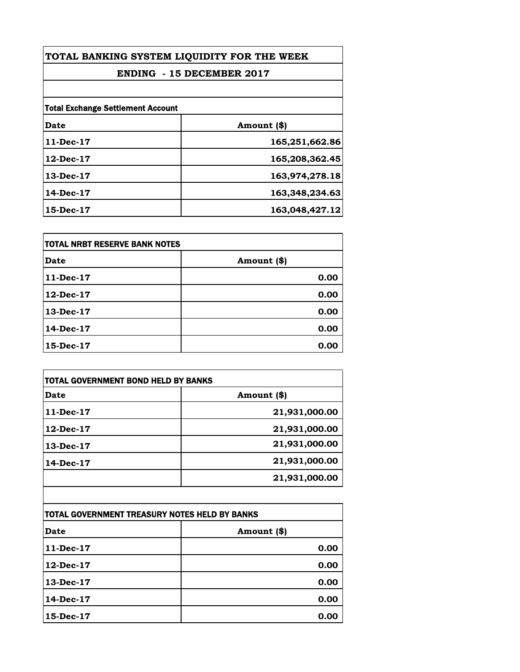| TOTAL BANKING SYSTEM LIQUIDITY FOR THE WEEK<br><b>ENDING - 15 DECEMBER 2017</b> |                |
|---------------------------------------------------------------------------------|----------------|
|                                                                                 |                |
| <b>Total Exchange Settlement Account</b>                                        |                |
| Date                                                                            | Amount (\$)    |
| $11$ -Dec-17                                                                    | 165,251,662.86 |
| $12$ -Dec-17                                                                    | 165,208,362.45 |
| $13$ -Dec- $17$                                                                 | 163,974,278.18 |
| $14$ -Dec-17                                                                    | 163,348,234.63 |
| 15-Dec-17                                                                       | 163,048,427.12 |

| itotal NRBT RESERVE BANK NOTES |             |
|--------------------------------|-------------|
| <b>Date</b>                    | Amount (\$) |
| 11-Dec-17                      | 0.00        |
| 12-Dec-17                      | 0.00        |
| $13$ -Dec- $17$                | 0.00        |
| 14-Dec-17                      | 0.00        |
| 15-Dec-17                      | 0.00        |

| TOTAL GOVERNMENT BOND HELD BY BANKS |               |
|-------------------------------------|---------------|
| Date                                | Amount (\$)   |
| $11$ -Dec-17                        | 21,931,000.00 |
| 12-Dec-17                           | 21,931,000.00 |
| 13-Dec-17                           | 21,931,000.00 |
| 14-Dec-17                           | 21,931,000.00 |
|                                     | 21,931,000.00 |

| TOTAL GOVERNMENT TREASURY NOTES HELD BY BANKS |             |
|-----------------------------------------------|-------------|
| <b>Date</b>                                   | Amount (\$) |
| $11$ -Dec-17                                  | 0.00        |
| $12$ -Dec-17                                  | 0.00        |
| 13-Dec-17                                     | 0.00        |
| $14$ -Dec-17                                  | 0.00        |
| 15-Dec-17                                     | 0.00        |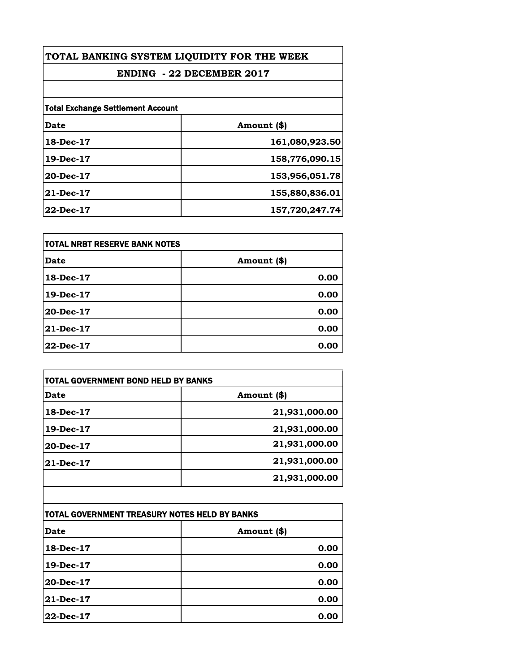| TOTAL BANKING SYSTEM LIQUIDITY FOR THE WEEK<br><b>ENDING - 22 DECEMBER 2017</b> |                |
|---------------------------------------------------------------------------------|----------------|
|                                                                                 |                |
| <b>Total Exchange Settlement Account</b>                                        |                |
| Date                                                                            | Amount (\$)    |
| 18-Dec-17                                                                       | 161,080,923.50 |
| 19-Dec-17                                                                       | 158,776,090.15 |
| 20-Dec-17                                                                       | 153,956,051.78 |
| $21$ -Dec-17                                                                    | 155,880,836.01 |
| 22-Dec-17                                                                       | 157,720,247.74 |

| itotal NRBT RESERVE BANK NOTES |             |
|--------------------------------|-------------|
| <b>Date</b>                    | Amount (\$) |
| 18-Dec-17                      | 0.00        |
| 19-Dec-17                      | 0.00        |
| 20-Dec-17                      | 0.00        |
| 21-Dec-17                      | 0.00        |
| 22-Dec-17                      | 0.00        |

| TOTAL GOVERNMENT BOND HELD BY BANKS |               |
|-------------------------------------|---------------|
| Date                                | Amount (\$)   |
| 18-Dec-17                           | 21,931,000.00 |
| 19-Dec-17                           | 21,931,000.00 |
| 20-Dec-17                           | 21,931,000.00 |
| <b>21-Dec-17</b>                    | 21,931,000.00 |
|                                     | 21,931,000.00 |

| TOTAL GOVERNMENT TREASURY NOTES HELD BY BANKS |             |
|-----------------------------------------------|-------------|
| Date                                          | Amount (\$) |
| 18-Dec-17                                     | 0.00        |
| $19$ -Dec-17                                  | 0.00        |
| 20-Dec-17                                     | 0.00        |
| 21-Dec-17                                     | 0.00        |
| 22-Dec-17                                     | 0.00        |